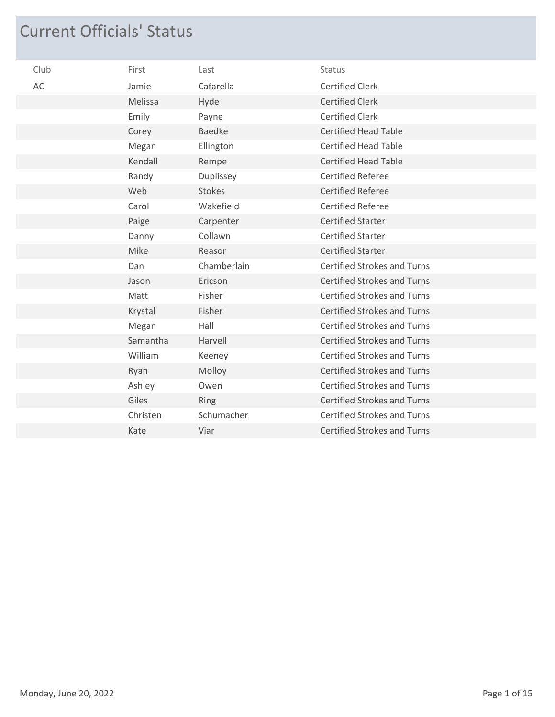## Current Officials' Status

| Club | First    | Last          | Status                             |
|------|----------|---------------|------------------------------------|
| AC   | Jamie    | Cafarella     | <b>Certified Clerk</b>             |
|      | Melissa  | Hyde          | <b>Certified Clerk</b>             |
|      | Emily    | Payne         | <b>Certified Clerk</b>             |
|      | Corey    | <b>Baedke</b> | <b>Certified Head Table</b>        |
|      | Megan    | Ellington     | <b>Certified Head Table</b>        |
|      | Kendall  | Rempe         | <b>Certified Head Table</b>        |
|      | Randy    | Duplissey     | <b>Certified Referee</b>           |
|      | Web      | <b>Stokes</b> | <b>Certified Referee</b>           |
|      | Carol    | Wakefield     | <b>Certified Referee</b>           |
|      | Paige    | Carpenter     | <b>Certified Starter</b>           |
|      | Danny    | Collawn       | <b>Certified Starter</b>           |
|      | Mike     | Reasor        | <b>Certified Starter</b>           |
|      | Dan      | Chamberlain   | <b>Certified Strokes and Turns</b> |
|      | Jason    | Ericson       | <b>Certified Strokes and Turns</b> |
|      | Matt     | Fisher        | <b>Certified Strokes and Turns</b> |
|      | Krystal  | Fisher        | <b>Certified Strokes and Turns</b> |
|      | Megan    | Hall          | <b>Certified Strokes and Turns</b> |
|      | Samantha | Harvell       | <b>Certified Strokes and Turns</b> |
|      | William  | Keeney        | <b>Certified Strokes and Turns</b> |
|      | Ryan     | Molloy        | <b>Certified Strokes and Turns</b> |
|      | Ashley   | Owen          | <b>Certified Strokes and Turns</b> |
|      | Giles    | Ring          | <b>Certified Strokes and Turns</b> |
|      | Christen | Schumacher    | <b>Certified Strokes and Turns</b> |
|      | Kate     | Viar          | <b>Certified Strokes and Turns</b> |
|      |          |               |                                    |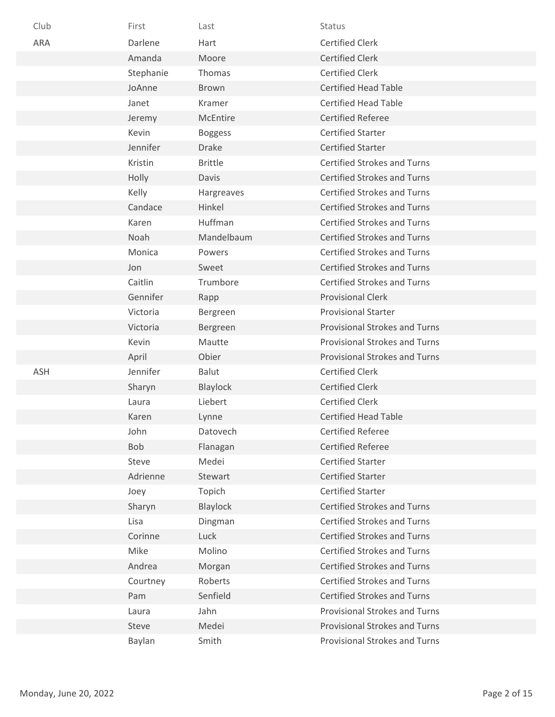| Club       | First     | Last           | <b>Status</b>                        |
|------------|-----------|----------------|--------------------------------------|
| <b>ARA</b> | Darlene   | Hart           | <b>Certified Clerk</b>               |
|            | Amanda    | Moore          | <b>Certified Clerk</b>               |
|            | Stephanie | Thomas         | <b>Certified Clerk</b>               |
|            | JoAnne    | <b>Brown</b>   | <b>Certified Head Table</b>          |
|            | Janet     | Kramer         | <b>Certified Head Table</b>          |
|            | Jeremy    | McEntire       | <b>Certified Referee</b>             |
|            | Kevin     | <b>Boggess</b> | <b>Certified Starter</b>             |
|            | Jennifer  | <b>Drake</b>   | <b>Certified Starter</b>             |
|            | Kristin   | <b>Brittle</b> | <b>Certified Strokes and Turns</b>   |
|            | Holly     | Davis          | <b>Certified Strokes and Turns</b>   |
|            | Kelly     | Hargreaves     | <b>Certified Strokes and Turns</b>   |
|            | Candace   | Hinkel         | <b>Certified Strokes and Turns</b>   |
|            | Karen     | Huffman        | <b>Certified Strokes and Turns</b>   |
|            | Noah      | Mandelbaum     | <b>Certified Strokes and Turns</b>   |
|            | Monica    | Powers         | <b>Certified Strokes and Turns</b>   |
|            | Jon       | Sweet          | <b>Certified Strokes and Turns</b>   |
|            | Caitlin   | Trumbore       | <b>Certified Strokes and Turns</b>   |
|            | Gennifer  | Rapp           | <b>Provisional Clerk</b>             |
|            | Victoria  | Bergreen       | <b>Provisional Starter</b>           |
|            | Victoria  | Bergreen       | <b>Provisional Strokes and Turns</b> |
|            | Kevin     | Mautte         | <b>Provisional Strokes and Turns</b> |
|            | April     | Obier          | <b>Provisional Strokes and Turns</b> |
| <b>ASH</b> | Jennifer  | Balut          | <b>Certified Clerk</b>               |
|            | Sharyn    | Blaylock       | <b>Certified Clerk</b>               |
|            | Laura     | Liebert        | <b>Certified Clerk</b>               |
|            | Karen     | Lynne          | <b>Certified Head Table</b>          |
|            | John      | Datovech       | <b>Certified Referee</b>             |
|            | Bob       | Flanagan       | <b>Certified Referee</b>             |
|            | Steve     | Medei          | <b>Certified Starter</b>             |
|            | Adrienne  | Stewart        | <b>Certified Starter</b>             |
|            | Joey      | Topich         | <b>Certified Starter</b>             |
|            | Sharyn    | Blaylock       | <b>Certified Strokes and Turns</b>   |
|            | Lisa      | Dingman        | <b>Certified Strokes and Turns</b>   |
|            | Corinne   | Luck           | <b>Certified Strokes and Turns</b>   |
|            | Mike      | Molino         | <b>Certified Strokes and Turns</b>   |
|            | Andrea    | Morgan         | <b>Certified Strokes and Turns</b>   |
|            | Courtney  | Roberts        | <b>Certified Strokes and Turns</b>   |
|            | Pam       | Senfield       | <b>Certified Strokes and Turns</b>   |
|            | Laura     | Jahn           | <b>Provisional Strokes and Turns</b> |
|            | Steve     | Medei          | Provisional Strokes and Turns        |
|            | Baylan    | Smith          | Provisional Strokes and Turns        |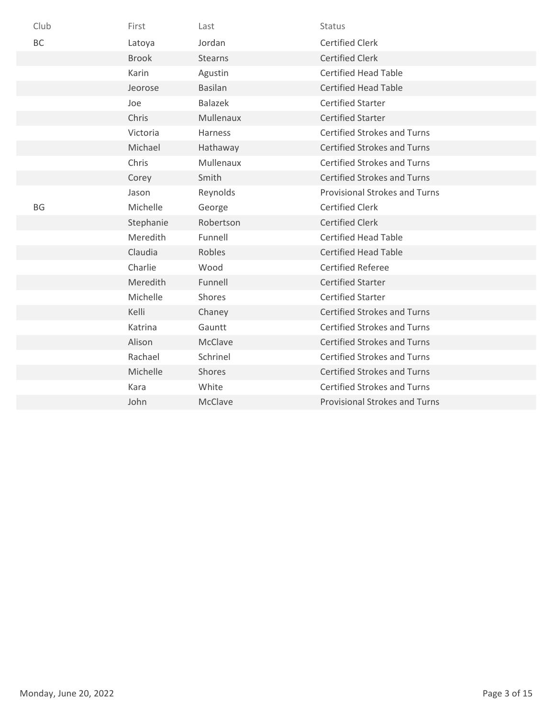| <b>BC</b><br><b>Certified Clerk</b><br>Jordan<br>Latoya        |  |
|----------------------------------------------------------------|--|
| <b>Stearns</b><br><b>Certified Clerk</b><br><b>Brook</b>       |  |
| <b>Certified Head Table</b><br>Karin<br>Agustin                |  |
| <b>Certified Head Table</b><br><b>Basilan</b><br>Jeorose       |  |
| <b>Balazek</b><br><b>Certified Starter</b><br>Joe              |  |
| <b>Certified Starter</b><br>Chris<br><b>Mullenaux</b>          |  |
| <b>Certified Strokes and Turns</b><br>Victoria<br>Harness      |  |
| <b>Certified Strokes and Turns</b><br>Michael<br>Hathaway      |  |
| Chris<br>Mullenaux<br><b>Certified Strokes and Turns</b>       |  |
| <b>Certified Strokes and Turns</b><br>Smith<br>Corey           |  |
| Reynolds<br><b>Provisional Strokes and Turns</b><br>Jason      |  |
| <b>BG</b><br>Michelle<br><b>Certified Clerk</b><br>George      |  |
| <b>Certified Clerk</b><br>Stephanie<br>Robertson               |  |
| <b>Certified Head Table</b><br>Meredith<br>Funnell             |  |
| Claudia<br>Robles<br><b>Certified Head Table</b>               |  |
| Charlie<br>Wood<br><b>Certified Referee</b>                    |  |
| <b>Certified Starter</b><br>Meredith<br>Funnell                |  |
| Michelle<br>Shores<br><b>Certified Starter</b>                 |  |
| <b>Certified Strokes and Turns</b><br>Kelli<br>Chaney          |  |
| Gauntt<br><b>Certified Strokes and Turns</b><br>Katrina        |  |
| <b>McClave</b><br>Alison<br><b>Certified Strokes and Turns</b> |  |
| Rachael<br>Schrinel<br><b>Certified Strokes and Turns</b>      |  |
| Michelle<br>Shores<br><b>Certified Strokes and Turns</b>       |  |
| White<br><b>Certified Strokes and Turns</b><br>Kara            |  |
| McClave<br><b>Provisional Strokes and Turns</b><br>John        |  |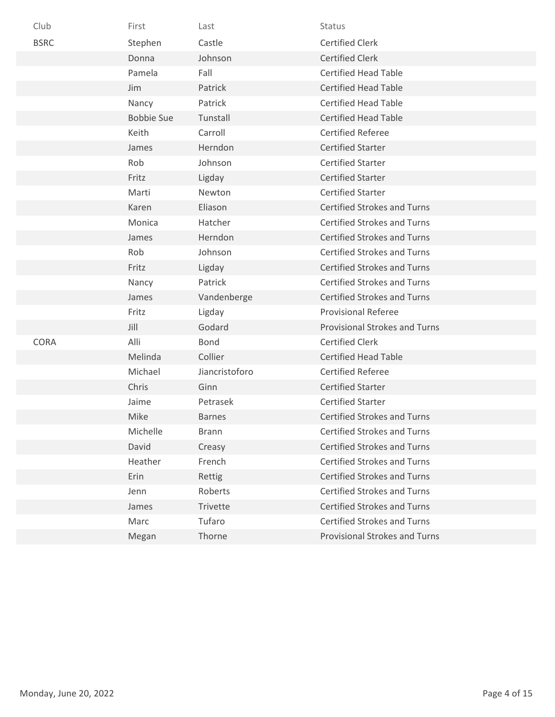| Club        | First             | Last           | Status                               |
|-------------|-------------------|----------------|--------------------------------------|
| <b>BSRC</b> | Stephen           | Castle         | <b>Certified Clerk</b>               |
|             | Donna             | Johnson        | <b>Certified Clerk</b>               |
|             | Pamela            | Fall           | <b>Certified Head Table</b>          |
|             | Jim               | Patrick        | <b>Certified Head Table</b>          |
|             | Nancy             | Patrick        | <b>Certified Head Table</b>          |
|             | <b>Bobbie Sue</b> | Tunstall       | <b>Certified Head Table</b>          |
|             | Keith             | Carroll        | <b>Certified Referee</b>             |
|             | James             | Herndon        | <b>Certified Starter</b>             |
|             | Rob               | Johnson        | <b>Certified Starter</b>             |
|             | Fritz             | Ligday         | <b>Certified Starter</b>             |
|             | Marti             | Newton         | <b>Certified Starter</b>             |
|             | Karen             | Eliason        | <b>Certified Strokes and Turns</b>   |
|             | Monica            | Hatcher        | <b>Certified Strokes and Turns</b>   |
|             | James             | Herndon        | <b>Certified Strokes and Turns</b>   |
|             | Rob               | Johnson        | <b>Certified Strokes and Turns</b>   |
|             | Fritz             | Ligday         | <b>Certified Strokes and Turns</b>   |
|             | Nancy             | Patrick        | <b>Certified Strokes and Turns</b>   |
|             | James             | Vandenberge    | <b>Certified Strokes and Turns</b>   |
|             | Fritz             | Ligday         | <b>Provisional Referee</b>           |
|             | Jill              | Godard         | <b>Provisional Strokes and Turns</b> |
| <b>CORA</b> | Alli              | Bond           | <b>Certified Clerk</b>               |
|             | Melinda           | Collier        | <b>Certified Head Table</b>          |
|             | Michael           | Jiancristoforo | <b>Certified Referee</b>             |
|             | Chris             | Ginn           | <b>Certified Starter</b>             |
|             | Jaime             | Petrasek       | <b>Certified Starter</b>             |
|             | Mike              | <b>Barnes</b>  | <b>Certified Strokes and Turns</b>   |
|             | Michelle          | <b>Brann</b>   | <b>Certified Strokes and Turns</b>   |
|             | David             | Creasy         | <b>Certified Strokes and Turns</b>   |
|             | Heather           | French         | <b>Certified Strokes and Turns</b>   |
|             | Erin              | Rettig         | <b>Certified Strokes and Turns</b>   |
|             | Jenn              | Roberts        | <b>Certified Strokes and Turns</b>   |
|             | James             | Trivette       | <b>Certified Strokes and Turns</b>   |
|             | Marc              | Tufaro         | <b>Certified Strokes and Turns</b>   |
|             | Megan             | Thorne         | <b>Provisional Strokes and Turns</b> |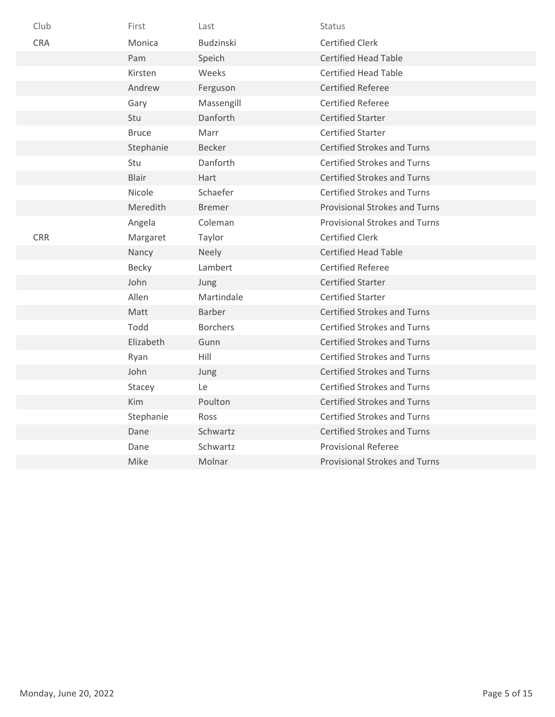| Club       | First        | Last            | <b>Status</b>                        |
|------------|--------------|-----------------|--------------------------------------|
| <b>CRA</b> | Monica       | Budzinski       | <b>Certified Clerk</b>               |
|            | Pam          | Speich          | <b>Certified Head Table</b>          |
|            | Kirsten      | Weeks           | <b>Certified Head Table</b>          |
|            | Andrew       | Ferguson        | <b>Certified Referee</b>             |
|            | Gary         | Massengill      | <b>Certified Referee</b>             |
|            | Stu          | Danforth        | <b>Certified Starter</b>             |
|            | <b>Bruce</b> | Marr            | <b>Certified Starter</b>             |
|            | Stephanie    | <b>Becker</b>   | <b>Certified Strokes and Turns</b>   |
|            | Stu          | Danforth        | <b>Certified Strokes and Turns</b>   |
|            | <b>Blair</b> | Hart            | <b>Certified Strokes and Turns</b>   |
|            | Nicole       | Schaefer        | <b>Certified Strokes and Turns</b>   |
|            | Meredith     | <b>Bremer</b>   | <b>Provisional Strokes and Turns</b> |
|            | Angela       | Coleman         | <b>Provisional Strokes and Turns</b> |
| <b>CRR</b> | Margaret     | Taylor          | <b>Certified Clerk</b>               |
|            | Nancy        | <b>Neely</b>    | <b>Certified Head Table</b>          |
|            | Becky        | Lambert         | <b>Certified Referee</b>             |
|            | John         | Jung            | <b>Certified Starter</b>             |
|            | Allen        | Martindale      | <b>Certified Starter</b>             |
|            | Matt         | <b>Barber</b>   | <b>Certified Strokes and Turns</b>   |
|            | Todd         | <b>Borchers</b> | <b>Certified Strokes and Turns</b>   |
|            | Elizabeth    | Gunn            | <b>Certified Strokes and Turns</b>   |
|            | Ryan         | Hill            | <b>Certified Strokes and Turns</b>   |
|            | John         | Jung            | <b>Certified Strokes and Turns</b>   |
|            | Stacey       | Le              | <b>Certified Strokes and Turns</b>   |
|            | Kim          | Poulton         | <b>Certified Strokes and Turns</b>   |
|            | Stephanie    | Ross            | <b>Certified Strokes and Turns</b>   |
|            | Dane         | Schwartz        | <b>Certified Strokes and Turns</b>   |
|            | Dane         | Schwartz        | <b>Provisional Referee</b>           |
|            | Mike         | Molnar          | <b>Provisional Strokes and Turns</b> |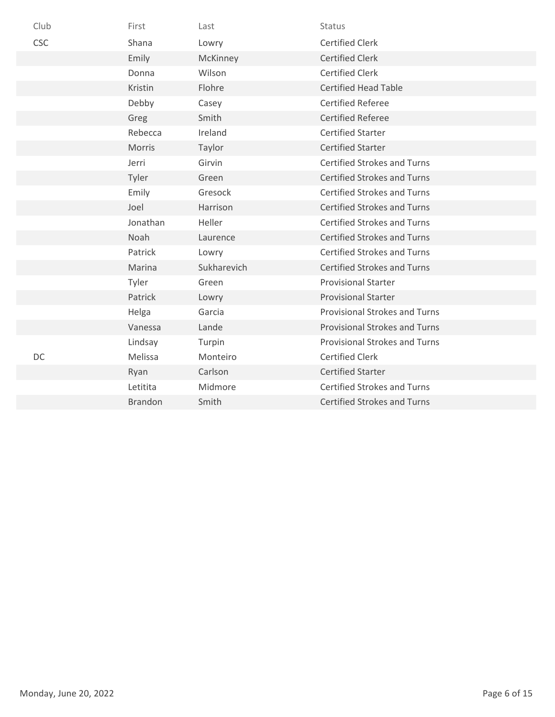| Club       | First          | Last        | Status                               |
|------------|----------------|-------------|--------------------------------------|
| <b>CSC</b> | Shana          | Lowry       | <b>Certified Clerk</b>               |
|            | Emily          | McKinney    | <b>Certified Clerk</b>               |
|            | Donna          | Wilson      | <b>Certified Clerk</b>               |
|            | Kristin        | Flohre      | <b>Certified Head Table</b>          |
|            | Debby          | Casey       | <b>Certified Referee</b>             |
|            | Greg           | Smith       | <b>Certified Referee</b>             |
|            | Rebecca        | Ireland     | <b>Certified Starter</b>             |
|            | Morris         | Taylor      | <b>Certified Starter</b>             |
|            | Jerri          | Girvin      | <b>Certified Strokes and Turns</b>   |
|            | Tyler          | Green       | <b>Certified Strokes and Turns</b>   |
|            | Emily          | Gresock     | <b>Certified Strokes and Turns</b>   |
|            | Joel           | Harrison    | <b>Certified Strokes and Turns</b>   |
|            | Jonathan       | Heller      | <b>Certified Strokes and Turns</b>   |
|            | Noah           | Laurence    | <b>Certified Strokes and Turns</b>   |
|            | Patrick        | Lowry       | <b>Certified Strokes and Turns</b>   |
|            | Marina         | Sukharevich | <b>Certified Strokes and Turns</b>   |
|            | Tyler          | Green       | <b>Provisional Starter</b>           |
|            | Patrick        | Lowry       | <b>Provisional Starter</b>           |
|            | Helga          | Garcia      | <b>Provisional Strokes and Turns</b> |
|            | Vanessa        | Lande       | <b>Provisional Strokes and Turns</b> |
|            | Lindsay        | Turpin      | <b>Provisional Strokes and Turns</b> |
| DC         | Melissa        | Monteiro    | <b>Certified Clerk</b>               |
|            | Ryan           | Carlson     | <b>Certified Starter</b>             |
|            | Letitita       | Midmore     | <b>Certified Strokes and Turns</b>   |
|            | <b>Brandon</b> | Smith       | <b>Certified Strokes and Turns</b>   |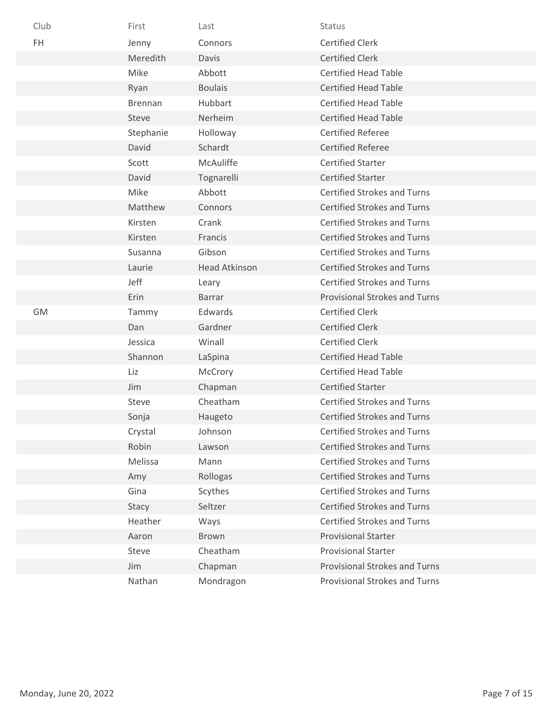| Club | First          | Last                 | <b>Status</b>                        |
|------|----------------|----------------------|--------------------------------------|
| FH   | Jenny          | Connors              | <b>Certified Clerk</b>               |
|      | Meredith       | Davis                | <b>Certified Clerk</b>               |
|      | Mike           | Abbott               | <b>Certified Head Table</b>          |
|      | Ryan           | <b>Boulais</b>       | <b>Certified Head Table</b>          |
|      | <b>Brennan</b> | Hubbart              | <b>Certified Head Table</b>          |
|      | Steve          | Nerheim              | <b>Certified Head Table</b>          |
|      | Stephanie      | Holloway             | <b>Certified Referee</b>             |
|      | David          | Schardt              | <b>Certified Referee</b>             |
|      | Scott          | McAuliffe            | <b>Certified Starter</b>             |
|      | David          | Tognarelli           | <b>Certified Starter</b>             |
|      | Mike           | Abbott               | <b>Certified Strokes and Turns</b>   |
|      | Matthew        | Connors              | <b>Certified Strokes and Turns</b>   |
|      | Kirsten        | Crank                | <b>Certified Strokes and Turns</b>   |
|      | Kirsten        | Francis              | <b>Certified Strokes and Turns</b>   |
|      | Susanna        | Gibson               | <b>Certified Strokes and Turns</b>   |
|      | Laurie         | <b>Head Atkinson</b> | <b>Certified Strokes and Turns</b>   |
|      | Jeff           | Leary                | <b>Certified Strokes and Turns</b>   |
|      | Erin           | <b>Barrar</b>        | Provisional Strokes and Turns        |
| GM   | Tammy          | Edwards              | <b>Certified Clerk</b>               |
|      | Dan            | Gardner              | <b>Certified Clerk</b>               |
|      | Jessica        | Winall               | <b>Certified Clerk</b>               |
|      | Shannon        | LaSpina              | <b>Certified Head Table</b>          |
|      | Liz            | McCrory              | <b>Certified Head Table</b>          |
|      | Jim            | Chapman              | <b>Certified Starter</b>             |
|      | Steve          | Cheatham             | <b>Certified Strokes and Turns</b>   |
|      | Sonja          | Haugeto              | <b>Certified Strokes and Turns</b>   |
|      | Crystal        | Johnson              | <b>Certified Strokes and Turns</b>   |
|      | Robin          | Lawson               | <b>Certified Strokes and Turns</b>   |
|      | Melissa        | Mann                 | <b>Certified Strokes and Turns</b>   |
|      | Amy            | Rollogas             | <b>Certified Strokes and Turns</b>   |
|      | Gina           | Scythes              | <b>Certified Strokes and Turns</b>   |
|      | Stacy          | Seltzer              | <b>Certified Strokes and Turns</b>   |
|      | Heather        | Ways                 | <b>Certified Strokes and Turns</b>   |
|      | Aaron          | <b>Brown</b>         | <b>Provisional Starter</b>           |
|      | Steve          | Cheatham             | <b>Provisional Starter</b>           |
|      | Jim            | Chapman              | <b>Provisional Strokes and Turns</b> |
|      | Nathan         | Mondragon            | Provisional Strokes and Turns        |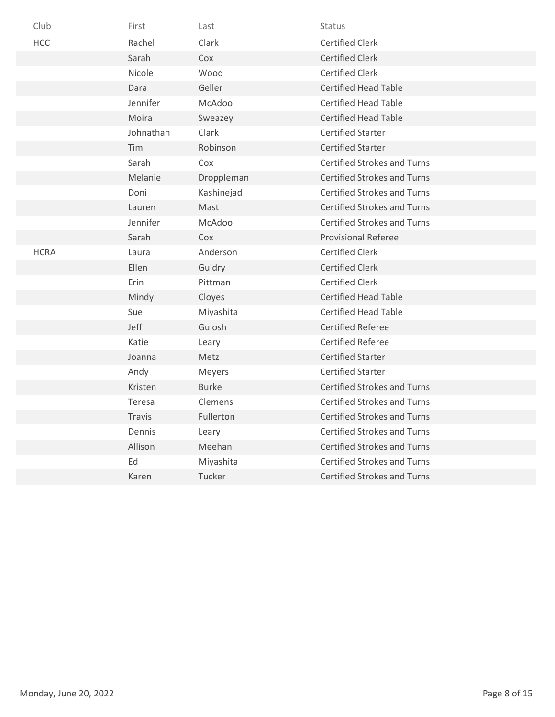| Club        | First         | Last         | <b>Status</b>                      |
|-------------|---------------|--------------|------------------------------------|
| <b>HCC</b>  | Rachel        | Clark        | <b>Certified Clerk</b>             |
|             | Sarah         | Cox          | <b>Certified Clerk</b>             |
|             | Nicole        | Wood         | <b>Certified Clerk</b>             |
|             | Dara          | Geller       | <b>Certified Head Table</b>        |
|             | Jennifer      | McAdoo       | <b>Certified Head Table</b>        |
|             | Moira         | Sweazey      | <b>Certified Head Table</b>        |
|             | Johnathan     | Clark        | <b>Certified Starter</b>           |
|             | Tim           | Robinson     | <b>Certified Starter</b>           |
|             | Sarah         | Cox          | <b>Certified Strokes and Turns</b> |
|             | Melanie       | Droppleman   | <b>Certified Strokes and Turns</b> |
|             | Doni          | Kashinejad   | <b>Certified Strokes and Turns</b> |
|             | Lauren        | Mast         | <b>Certified Strokes and Turns</b> |
|             | Jennifer      | McAdoo       | <b>Certified Strokes and Turns</b> |
|             | Sarah         | Cox          | <b>Provisional Referee</b>         |
| <b>HCRA</b> | Laura         | Anderson     | <b>Certified Clerk</b>             |
|             | Ellen         | Guidry       | <b>Certified Clerk</b>             |
|             | Erin          | Pittman      | <b>Certified Clerk</b>             |
|             | Mindy         | Cloyes       | <b>Certified Head Table</b>        |
|             | Sue           | Miyashita    | <b>Certified Head Table</b>        |
|             | Jeff          | Gulosh       | <b>Certified Referee</b>           |
|             | Katie         | Leary        | <b>Certified Referee</b>           |
|             | Joanna        | Metz         | <b>Certified Starter</b>           |
|             | Andy          | Meyers       | <b>Certified Starter</b>           |
|             | Kristen       | <b>Burke</b> | <b>Certified Strokes and Turns</b> |
|             | Teresa        | Clemens      | <b>Certified Strokes and Turns</b> |
|             | <b>Travis</b> | Fullerton    | <b>Certified Strokes and Turns</b> |
|             | Dennis        | Leary        | <b>Certified Strokes and Turns</b> |
|             | Allison       | Meehan       | <b>Certified Strokes and Turns</b> |
|             | Ed            | Miyashita    | <b>Certified Strokes and Turns</b> |
|             | Karen         | Tucker       | <b>Certified Strokes and Turns</b> |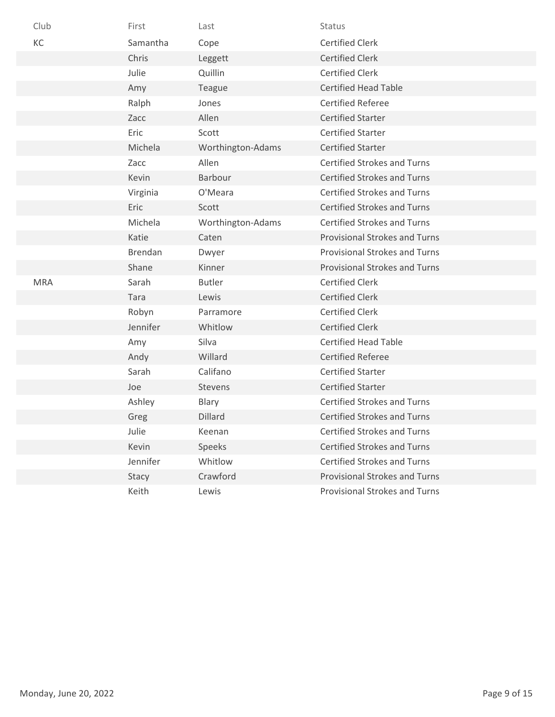| Club       | First          | Last              | Status                               |
|------------|----------------|-------------------|--------------------------------------|
| KC         | Samantha       | Cope              | <b>Certified Clerk</b>               |
|            | Chris          | Leggett           | <b>Certified Clerk</b>               |
|            | Julie          | Quillin           | <b>Certified Clerk</b>               |
|            | Amy            | Teague            | <b>Certified Head Table</b>          |
|            | Ralph          | Jones             | <b>Certified Referee</b>             |
|            | Zacc           | Allen             | <b>Certified Starter</b>             |
|            | Eric           | Scott             | <b>Certified Starter</b>             |
|            | Michela        | Worthington-Adams | <b>Certified Starter</b>             |
|            | Zacc           | Allen             | <b>Certified Strokes and Turns</b>   |
|            | Kevin          | Barbour           | <b>Certified Strokes and Turns</b>   |
|            | Virginia       | O'Meara           | <b>Certified Strokes and Turns</b>   |
|            | Eric           | Scott             | <b>Certified Strokes and Turns</b>   |
|            | Michela        | Worthington-Adams | <b>Certified Strokes and Turns</b>   |
|            | Katie          | Caten             | <b>Provisional Strokes and Turns</b> |
|            | <b>Brendan</b> | Dwyer             | <b>Provisional Strokes and Turns</b> |
|            | Shane          | Kinner            | <b>Provisional Strokes and Turns</b> |
| <b>MRA</b> | Sarah          | <b>Butler</b>     | <b>Certified Clerk</b>               |
|            | Tara           | Lewis             | <b>Certified Clerk</b>               |
|            | Robyn          | Parramore         | <b>Certified Clerk</b>               |
|            | Jennifer       | Whitlow           | <b>Certified Clerk</b>               |
|            | Amy            | Silva             | <b>Certified Head Table</b>          |
|            | Andy           | Willard           | <b>Certified Referee</b>             |
|            | Sarah          | Califano          | <b>Certified Starter</b>             |
|            | Joe            | Stevens           | <b>Certified Starter</b>             |
|            | Ashley         | Blary             | <b>Certified Strokes and Turns</b>   |
|            | Greg           | Dillard           | <b>Certified Strokes and Turns</b>   |
|            | Julie          | Keenan            | <b>Certified Strokes and Turns</b>   |
|            | Kevin          | Speeks            | <b>Certified Strokes and Turns</b>   |
|            | Jennifer       | Whitlow           | Certified Strokes and Turns          |
|            | Stacy          | Crawford          | <b>Provisional Strokes and Turns</b> |
|            | Keith          | Lewis             | Provisional Strokes and Turns        |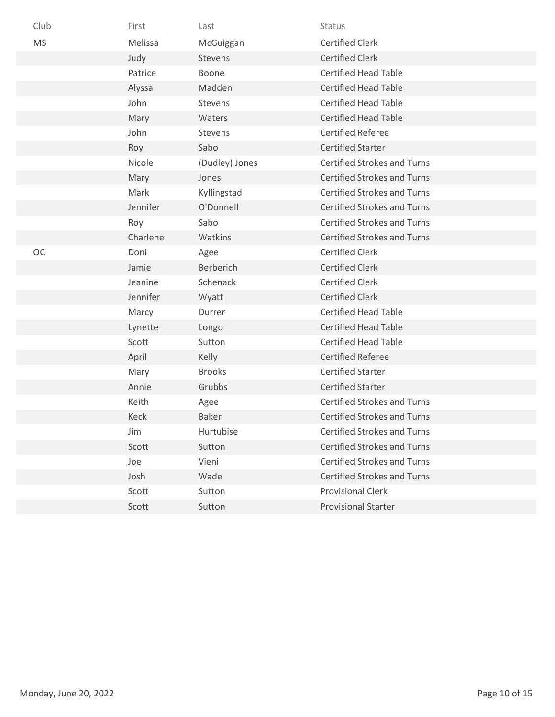| Club      | First    | Last             | Status                             |
|-----------|----------|------------------|------------------------------------|
| <b>MS</b> | Melissa  | McGuiggan        | <b>Certified Clerk</b>             |
|           | Judy     | Stevens          | <b>Certified Clerk</b>             |
|           | Patrice  | Boone            | <b>Certified Head Table</b>        |
|           | Alyssa   | Madden           | <b>Certified Head Table</b>        |
|           | John     | Stevens          | <b>Certified Head Table</b>        |
|           | Mary     | Waters           | <b>Certified Head Table</b>        |
|           | John     | Stevens          | <b>Certified Referee</b>           |
|           | Roy      | Sabo             | <b>Certified Starter</b>           |
|           | Nicole   | (Dudley) Jones   | <b>Certified Strokes and Turns</b> |
|           | Mary     | Jones            | <b>Certified Strokes and Turns</b> |
|           | Mark     | Kyllingstad      | <b>Certified Strokes and Turns</b> |
|           | Jennifer | O'Donnell        | <b>Certified Strokes and Turns</b> |
|           | Roy      | Sabo             | <b>Certified Strokes and Turns</b> |
|           | Charlene | Watkins          | <b>Certified Strokes and Turns</b> |
| <b>OC</b> | Doni     | Agee             | <b>Certified Clerk</b>             |
|           | Jamie    | <b>Berberich</b> | <b>Certified Clerk</b>             |
|           | Jeanine  | Schenack         | <b>Certified Clerk</b>             |
|           | Jennifer | Wyatt            | <b>Certified Clerk</b>             |
|           | Marcy    | Durrer           | <b>Certified Head Table</b>        |
|           | Lynette  | Longo            | <b>Certified Head Table</b>        |
|           | Scott    | Sutton           | <b>Certified Head Table</b>        |
|           | April    | Kelly            | <b>Certified Referee</b>           |
|           | Mary     | <b>Brooks</b>    | <b>Certified Starter</b>           |
|           | Annie    | Grubbs           | <b>Certified Starter</b>           |
|           | Keith    | Agee             | <b>Certified Strokes and Turns</b> |
|           | Keck     | <b>Baker</b>     | <b>Certified Strokes and Turns</b> |
|           | Jim      | Hurtubise        | <b>Certified Strokes and Turns</b> |
|           | Scott    | Sutton           | <b>Certified Strokes and Turns</b> |
|           | Joe      | Vieni            | Certified Strokes and Turns        |
|           | Josh     | Wade             | <b>Certified Strokes and Turns</b> |
|           | Scott    | Sutton           | <b>Provisional Clerk</b>           |
|           | Scott    | Sutton           | <b>Provisional Starter</b>         |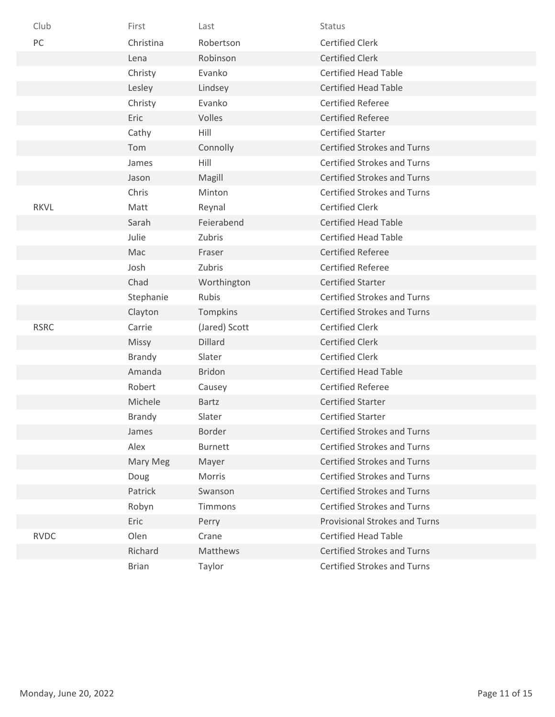| Club        | First         | Last           | <b>Status</b>                        |
|-------------|---------------|----------------|--------------------------------------|
| PC          | Christina     | Robertson      | <b>Certified Clerk</b>               |
|             | Lena          | Robinson       | <b>Certified Clerk</b>               |
|             | Christy       | Evanko         | <b>Certified Head Table</b>          |
|             | Lesley        | Lindsey        | <b>Certified Head Table</b>          |
|             | Christy       | Evanko         | <b>Certified Referee</b>             |
|             | Eric          | Volles         | <b>Certified Referee</b>             |
|             | Cathy         | Hill           | <b>Certified Starter</b>             |
|             | Tom           | Connolly       | <b>Certified Strokes and Turns</b>   |
|             | James         | Hill           | <b>Certified Strokes and Turns</b>   |
|             | Jason         | Magill         | <b>Certified Strokes and Turns</b>   |
|             | Chris         | Minton         | <b>Certified Strokes and Turns</b>   |
| <b>RKVL</b> | Matt          | Reynal         | <b>Certified Clerk</b>               |
|             | Sarah         | Feierabend     | <b>Certified Head Table</b>          |
|             | Julie         | Zubris         | <b>Certified Head Table</b>          |
|             | Mac           | Fraser         | <b>Certified Referee</b>             |
|             | Josh          | Zubris         | <b>Certified Referee</b>             |
|             | Chad          | Worthington    | <b>Certified Starter</b>             |
|             | Stephanie     | Rubis          | <b>Certified Strokes and Turns</b>   |
|             | Clayton       | Tompkins       | <b>Certified Strokes and Turns</b>   |
| <b>RSRC</b> | Carrie        | (Jared) Scott  | <b>Certified Clerk</b>               |
|             | Missy         | Dillard        | <b>Certified Clerk</b>               |
|             | <b>Brandy</b> | Slater         | <b>Certified Clerk</b>               |
|             | Amanda        | <b>Bridon</b>  | <b>Certified Head Table</b>          |
|             | Robert        | Causey         | <b>Certified Referee</b>             |
|             | Michele       | <b>Bartz</b>   | <b>Certified Starter</b>             |
|             | <b>Brandy</b> | Slater         | <b>Certified Starter</b>             |
|             | James         | Border         | <b>Certified Strokes and Turns</b>   |
|             | Alex          | <b>Burnett</b> | <b>Certified Strokes and Turns</b>   |
|             | Mary Meg      | Mayer          | <b>Certified Strokes and Turns</b>   |
|             | Doug          | Morris         | <b>Certified Strokes and Turns</b>   |
|             | Patrick       | Swanson        | <b>Certified Strokes and Turns</b>   |
|             | Robyn         | Timmons        | <b>Certified Strokes and Turns</b>   |
|             | Eric          | Perry          | <b>Provisional Strokes and Turns</b> |
| <b>RVDC</b> | Olen          | Crane          | <b>Certified Head Table</b>          |
|             | Richard       | Matthews       | <b>Certified Strokes and Turns</b>   |
|             | <b>Brian</b>  | Taylor         | <b>Certified Strokes and Turns</b>   |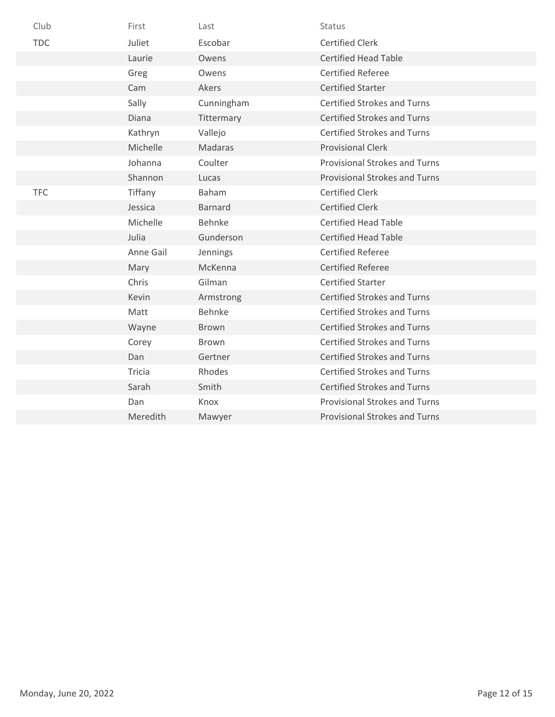| Club       | First     | Last           | Status                               |
|------------|-----------|----------------|--------------------------------------|
| <b>TDC</b> | Juliet    | Escobar        | <b>Certified Clerk</b>               |
|            | Laurie    | Owens          | <b>Certified Head Table</b>          |
|            | Greg      | Owens          | <b>Certified Referee</b>             |
|            | Cam       | Akers          | <b>Certified Starter</b>             |
|            | Sally     | Cunningham     | <b>Certified Strokes and Turns</b>   |
|            | Diana     | Tittermary     | <b>Certified Strokes and Turns</b>   |
|            | Kathryn   | Vallejo        | <b>Certified Strokes and Turns</b>   |
|            | Michelle  | Madaras        | <b>Provisional Clerk</b>             |
|            | Johanna   | Coulter        | <b>Provisional Strokes and Turns</b> |
|            | Shannon   | Lucas          | <b>Provisional Strokes and Turns</b> |
| <b>TFC</b> | Tiffany   | <b>Baham</b>   | <b>Certified Clerk</b>               |
|            | Jessica   | <b>Barnard</b> | <b>Certified Clerk</b>               |
|            | Michelle  | <b>Behnke</b>  | <b>Certified Head Table</b>          |
|            | Julia     | Gunderson      | <b>Certified Head Table</b>          |
|            | Anne Gail | Jennings       | <b>Certified Referee</b>             |
|            | Mary      | McKenna        | <b>Certified Referee</b>             |
|            | Chris     | Gilman         | <b>Certified Starter</b>             |
|            | Kevin     | Armstrong      | <b>Certified Strokes and Turns</b>   |
|            | Matt      | Behnke         | <b>Certified Strokes and Turns</b>   |
|            | Wayne     | <b>Brown</b>   | <b>Certified Strokes and Turns</b>   |
|            | Corey     | Brown          | <b>Certified Strokes and Turns</b>   |
|            | Dan       | Gertner        | <b>Certified Strokes and Turns</b>   |
|            | Tricia    | Rhodes         | <b>Certified Strokes and Turns</b>   |
|            | Sarah     | Smith          | <b>Certified Strokes and Turns</b>   |
|            | Dan       | Knox           | <b>Provisional Strokes and Turns</b> |
|            | Meredith  | Mawyer         | <b>Provisional Strokes and Turns</b> |
|            |           |                |                                      |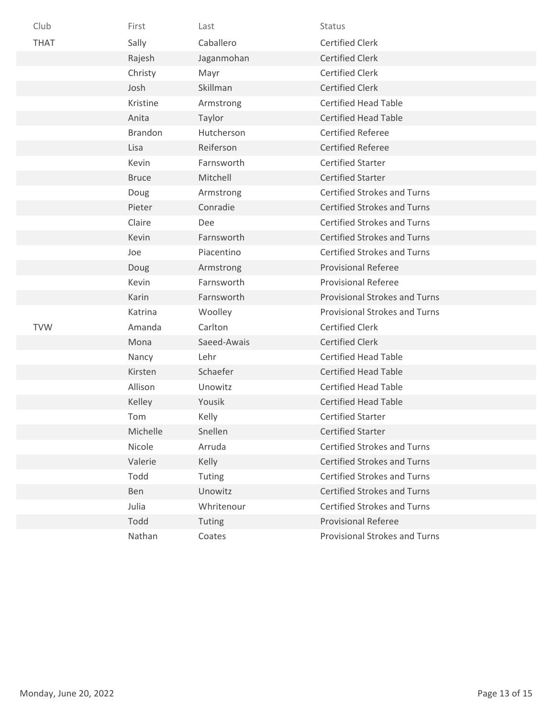| Club        | First          | Last        | Status                               |
|-------------|----------------|-------------|--------------------------------------|
| <b>THAT</b> | Sally          | Caballero   | <b>Certified Clerk</b>               |
|             | Rajesh         | Jaganmohan  | <b>Certified Clerk</b>               |
|             | Christy        | Mayr        | <b>Certified Clerk</b>               |
|             | Josh           | Skillman    | <b>Certified Clerk</b>               |
|             | Kristine       | Armstrong   | <b>Certified Head Table</b>          |
|             | Anita          | Taylor      | <b>Certified Head Table</b>          |
|             | <b>Brandon</b> | Hutcherson  | <b>Certified Referee</b>             |
|             | Lisa           | Reiferson   | <b>Certified Referee</b>             |
|             | Kevin          | Farnsworth  | <b>Certified Starter</b>             |
|             | <b>Bruce</b>   | Mitchell    | <b>Certified Starter</b>             |
|             | Doug           | Armstrong   | <b>Certified Strokes and Turns</b>   |
|             | Pieter         | Conradie    | <b>Certified Strokes and Turns</b>   |
|             | Claire         | Dee         | <b>Certified Strokes and Turns</b>   |
|             | Kevin          | Farnsworth  | <b>Certified Strokes and Turns</b>   |
|             | Joe            | Piacentino  | <b>Certified Strokes and Turns</b>   |
|             | Doug           | Armstrong   | <b>Provisional Referee</b>           |
|             | Kevin          | Farnsworth  | <b>Provisional Referee</b>           |
|             | Karin          | Farnsworth  | <b>Provisional Strokes and Turns</b> |
|             | Katrina        | Woolley     | <b>Provisional Strokes and Turns</b> |
| <b>TVW</b>  | Amanda         | Carlton     | <b>Certified Clerk</b>               |
|             | Mona           | Saeed-Awais | <b>Certified Clerk</b>               |
|             | Nancy          | Lehr        | <b>Certified Head Table</b>          |
|             | Kirsten        | Schaefer    | <b>Certified Head Table</b>          |
|             | Allison        | Unowitz     | <b>Certified Head Table</b>          |
|             | Kelley         | Yousik      | <b>Certified Head Table</b>          |
|             | Tom            | Kelly       | <b>Certified Starter</b>             |
|             | Michelle       | Snellen     | <b>Certified Starter</b>             |
|             | Nicole         | Arruda      | <b>Certified Strokes and Turns</b>   |
|             | Valerie        | Kelly       | <b>Certified Strokes and Turns</b>   |
|             | Todd           | Tuting      | <b>Certified Strokes and Turns</b>   |
|             | Ben            | Unowitz     | <b>Certified Strokes and Turns</b>   |
|             | Julia          | Whritenour  | <b>Certified Strokes and Turns</b>   |
|             | Todd           | Tuting      | <b>Provisional Referee</b>           |
|             | Nathan         | Coates      | <b>Provisional Strokes and Turns</b> |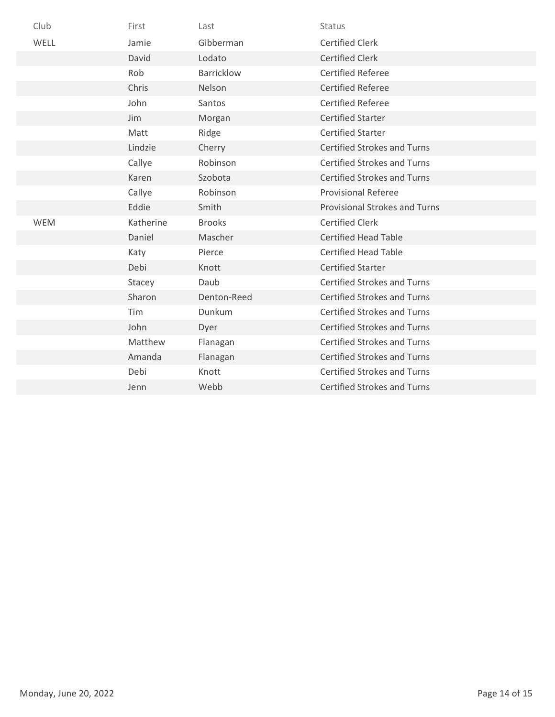| Club | First      | Last              | Status                               |
|------|------------|-------------------|--------------------------------------|
| WELL | Jamie      | Gibberman         | <b>Certified Clerk</b>               |
|      | David      | Lodato            | <b>Certified Clerk</b>               |
|      | Rob        | <b>Barricklow</b> | <b>Certified Referee</b>             |
|      | Chris      | Nelson            | <b>Certified Referee</b>             |
|      | John       | Santos            | <b>Certified Referee</b>             |
|      | Jim        | Morgan            | <b>Certified Starter</b>             |
|      | Matt       | Ridge             | <b>Certified Starter</b>             |
|      | Lindzie    | Cherry            | <b>Certified Strokes and Turns</b>   |
|      | Callye     | Robinson          | <b>Certified Strokes and Turns</b>   |
|      | Karen      | Szobota           | <b>Certified Strokes and Turns</b>   |
|      | Callye     | Robinson          | <b>Provisional Referee</b>           |
|      | Eddie      | Smith             | <b>Provisional Strokes and Turns</b> |
| WEM  | Katherine  | <b>Brooks</b>     | <b>Certified Clerk</b>               |
|      | Daniel     | Mascher           | <b>Certified Head Table</b>          |
|      | Katy       | Pierce            | <b>Certified Head Table</b>          |
|      | Debi       | Knott             | <b>Certified Starter</b>             |
|      | Stacey     | Daub              | <b>Certified Strokes and Turns</b>   |
|      | Sharon     | Denton-Reed       | <b>Certified Strokes and Turns</b>   |
|      | <b>Tim</b> | Dunkum            | <b>Certified Strokes and Turns</b>   |
|      | John       | Dyer              | <b>Certified Strokes and Turns</b>   |
|      | Matthew    | Flanagan          | <b>Certified Strokes and Turns</b>   |
|      | Amanda     | Flanagan          | <b>Certified Strokes and Turns</b>   |
|      | Debi       | Knott             | <b>Certified Strokes and Turns</b>   |
|      | Jenn       | Webb              | <b>Certified Strokes and Turns</b>   |